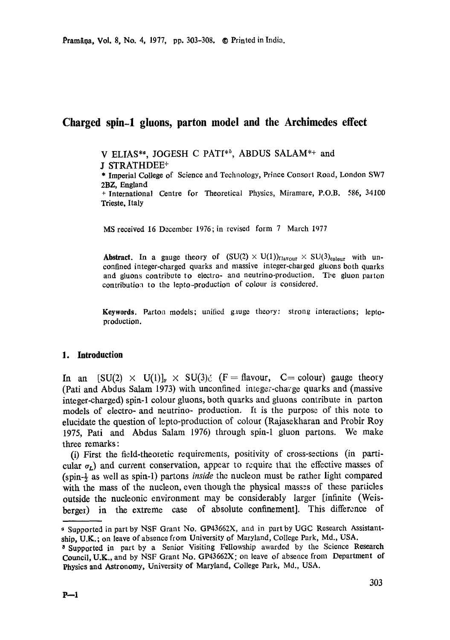# **Charged spin-1 gluons, parton model and the Archimedes effect**

V ELIAS\*<sup>6</sup>, JOGESH C PATI<sup>\*8</sup>, ABDUS SALAM\*+ and

J STRATHDEE<sup>+</sup>

\* Imperial College of Science and Technology, Prince Consort Road, London SW7 2BZ, England

+ International Centre for Theoretical Physics, Miramare, P.O.B. 586, 34100 **Trieste.** Italy

MS received 16 December 1976; in revised form 7 March 1977

**Abstract.** In a gauge theory of  $(SU(2) \times U(1))$ <sub>flavour</sub>  $\times SU(3)_{\text{colour}}$  with unconfined integer-charged quarks and massive integer-charged gluons both quarks and gluons contribute to electro- and neutrino-production. The gluon parton contribution to the lepto-production of colour is considered.

**Keywords.** Parton models; unified g,uge theory: strong interactions; leptoproduction.

## **1. Introduction**

In an  $[SU(2) \times U(1)]_{\text{F}} \times SU(3)$ : (F = flavour, C = colour) gauge theory (Pati and Abdus Salam 1973) with unconfined integer-chacge quarks and (massive integer-charged) spin-1 colour gluons, both quarks and gluons contribute in parton models of electro- and neutrino- production. It is the purpose of this note to elucidate the question of lepto-production of colour (Rajasekharan and Probir Roy 1975, Pati and Abdus Salam 1976) through spin-1 gluon partons. We *make*  three remarks:

(i) First the field-theoretic requirements, positivity of cross-sections (in particular  $\sigma_L$ ) and current conservation, appear to require that the effective masses of (spin-½ as well as spin-l) partons *inside* the nucleon must be rather light compared with the mass of the nucleon, even though the physical masses of these particles outside the nucleonic environment may be considerably larger [infinite (Weisberger) in the extreme case of absolute confinement]. This difference of

Supported in part by NSF Grant No. GP43662X, and in part by UGC Research Assistantship, U.K.; on leave of absence from University of Maryland, College Park, Md., USA.

Supported in part by a Senior Visiting Fellowship awarded by the Science **Research**  Council, U.K., and bY NSF Grant No. GP43662X: on leave of absence from Department of **Physics** and Astronomy, University of Maryland, College Park, Md., USA.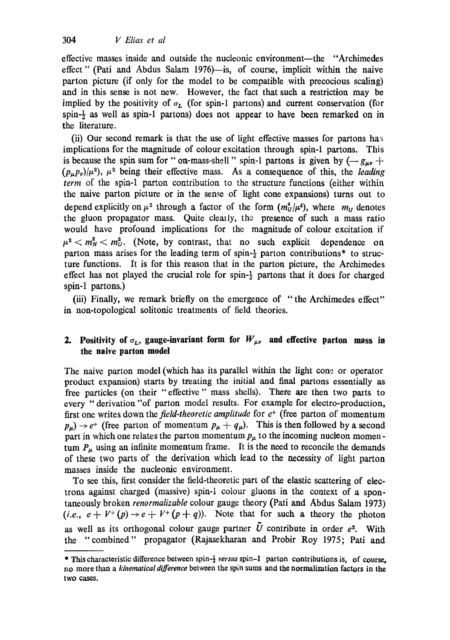effective masses inside and outside the nucleonic environment--the "Archimedes effect" (Pati and Abdus Salam 1976)—is, of course, implicit within the naive parton picture (if only for the model to be compatible with precocious scaling) and in this sense is not new. However, the fact that such a restriction may be implied by the positivity of  $\sigma_{r}$ . (for spin-1 partons) and current conservation (for spin- $\frac{1}{2}$  as well as spin-1 partons) does not appear to have been remarked on in the literature.

(ii) Our second remark is that the use of light effective masses for partons has implications for the magnitude of colour excitation through spin-1 partons. This is because the spin sum for "on-mass-shell" spin-1 partons is given by  $(-g_{\mu\nu} +$  $(p_\mu p_\nu)/\mu^2$ ,  $\mu^2$  being their effective mass. As a consequence of this, the *leading term* of the spin-1 patton contribution to the structure functions (either within the naive patton picture or in the sense of light cone expansions) turns out to depend explicitly on  $\mu^2$  through a factor of the form  $(m_U^4/\mu^4)$ , where  $m_U$  denotes the gluon propagator mass. Quite clearly, the presence of such a mass ratio would have profound implications for the magnitude of colour excitation if  $\mu^2 < m_N^2 < m_U^2$ . (Note, by contrast, that no such explicit dependence on parton mass arises for the leading term of spin- $\frac{1}{2}$  parton contributions\* to structure functions. It is for this reason that in the parton picture, the Archimedes effect has not played the crucial role for spin- $\frac{1}{2}$  partons that it does for charged spin-1 partons.)

(iii) Finally, we remark briefly on the emergence of "the Archimedes effect" in non-topological solitonic treatments of field theories.

## **2.** Positivity of  $\sigma_L$ , gauge-invariant form for  $W_{\mu\nu}$  and effective parton mass in **the naive parton model**

The naive parton model (which has its parallel within the light cone or operator product expansion) starts by treating the initial and final patrons essentially as free particles (on their "effective" mass shells). There are then two parts to every "derivation "of patton model results. For example for electro-production, first one writes down the *field-theoretic amplitude* for  $e^+$  (free parton of momentum  $p_{\mu}$ )  $\rightarrow$  e<sup>+</sup> (free parton of momentum  $p_{\mu} + q_{\mu}$ ). This is then followed by a second part in which one relates the parton momentum  $p_{\mu}$  to the incoming nucleon momentum  $P_{\mu}$  using an infinite momentum frame. It is the need to reconcile the demands of these two parts of the derivation which lead to the necessity of light parton masses inside the nucleonic environment.

To see this, first consider the field-theoretic part of the elastic scattering of electrons against charged (massive) spin-1 colour gluons in the context of a spontaneously broken *renormalizable* colour gauge theory (Pati and Abdus Salam 1973)  $(i.e., e + V^+(p) \rightarrow e + V^+(p+q))$ . Note that for such a theory the photon as well as its orthogonal colour gauge partner  $\tilde{U}$  contribute in order  $e^2$ . With the "combined" propagator (Rajasekharan and Probir Roy 1975; Pati and

<sup>\*</sup> This characteristic difference between spin-½ *versus* spin-1 patton contributions is, of course, no more than a *kinematical difference* between the spin sums and the normalization factors in **the**  two cases.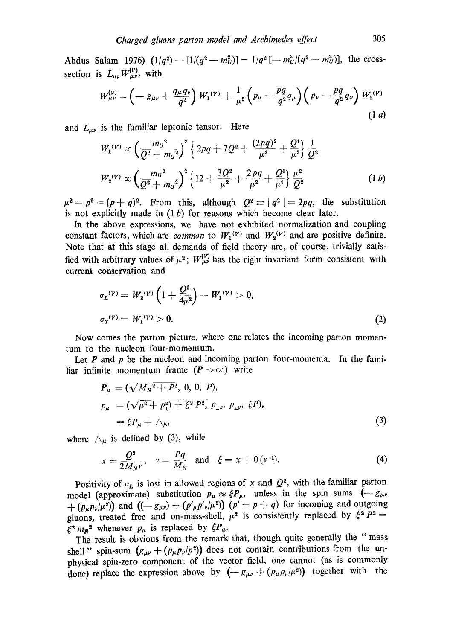Abdus Salam 1976)  $(1/q^2)$  --- $[1/(q^2-m_U^2)] = 1/q^2$  [--- $m_U^2/(q^2-m_U^2)$ ], the crosssection is  $L_{\mu\nu} W_{\mu\nu}^{(V)}$ , with

$$
W_{\mu\nu}^{(V)} = \left(-g_{\mu\nu} + \frac{q_{\mu}q_{\nu}}{q^2}\right)W_1^{(V)} + \frac{1}{\mu^2}\left(p_{\mu} - \frac{pq}{q^2}q_{\mu}\right)\left(p_{\nu} - \frac{pq}{q^2}q_{\nu}\right)W_2^{(V)}\tag{1 a}
$$

and  $L_{\mu\nu}$  is the familiar leptonic tensor. Here

$$
W_1^{(V)} \propto \left(\frac{m_U^2}{Q^2 + m_U^2}\right)^2 \left\{2pq + 7Q^2 + \frac{(2pq)^2}{\mu^2} + \frac{Q^4}{\mu^2}\right\} \frac{1}{Q^2}
$$
  

$$
W_2^{(V)} \propto \left(\frac{m_U^2}{Q^2 + m_U^2}\right)^2 \left\{12 + \frac{3Q^2}{\mu^2} + \frac{2pq}{\mu^2} + \frac{Q^4}{\mu^4}\right\} \frac{\mu^2}{Q^2}
$$
 (1 b)

 $\mu^2 = p^2 = (p + q)^2$ . From this, although  $Q^2 = |q^2| = 2pq$ , the substitution is not explicitly made in  $(1 b)$  for reasons which become clear later.

In the above expressions, we have not exhibited normalization and coupling constant factors, which are *common* to  $W_1^{(v)}$  and  $W_2^{(v)}$  and are positive definite. Note that at this stage all demands of field theory are, of course, trivially satisfied with arbitrary values of  $\mu^2$ ;  $W_{\mu\nu}^{(V)}$  has the right invariant form consistent with current conservation and

$$
\sigma_L^{(V)} = W_2^{(V)} \left( 1 + \frac{Q^2}{4\mu^2} \right) - W_1^{(V)} > 0,
$$
  
\n
$$
\sigma_T^{(V)} = W_1^{(V)} > 0.
$$
\n(2)

Now comes the patton picture, where one relates the incoming parton momentum to the nucleon four-momentum.

Let  $P$  and  $p$  be the nucleon and incoming parton four-momenta. In the familiar infinite momentum frame  $(P \rightarrow \infty)$  write

$$
P_{\mu} = (\sqrt{M_{N}^{2} + P^{2}}, 0, 0, P),
$$
  
\n
$$
p_{\mu} = (\sqrt{\mu^{2} + P_{1}^{2}}) + \xi^{2} P^{2}, p_{\mu}, p_{\mu}, \xi P),
$$
  
\n
$$
\equiv \xi P_{\mu} + \Delta_{\mu},
$$
\n(3)

where  $\Delta_{\mu}$  is defined by (3), while

$$
x = \frac{Q^2}{2M_N v}
$$
,  $v = \frac{Pq}{M_N}$  and  $\xi = x + 0 (v^{-1})$ . (4)

Positivity of  $\sigma_L$  is lost in allowed regions of x and  $Q^2$ , with the familiar parton model (approximate) substitution  $p_{\mu} \approx \xi P_{\mu}$ , unless in the spin sums  $(-g_{\mu\nu})$  $+$  ( $p_{\mu}p_{\nu}|\mu^2$ )) and  $((-g_{\mu\nu})+(p'_{\mu}p'_{\nu})/(p' = p + q)$  for incoming and outgoing gluons, treated free and on-mass-shell,  $\mu^2$  is consistently replaced by  $\xi^2 P^2$  =  $\xi^2 m_N^2$  whenever  $p_\mu$  is replaced by  $\xi P_\mu$ .

The result is obvious from the remark that, though quite generally the "mass shell" spin-sum  $(g_{\mu\nu} + (p_{\mu}p_{\nu}/p^2))$  does not contain contributions from the unphysical spin-zero component of the vector field, one cannot (as is commonly done) replace the expression above by  $(-g_{\mu\nu} + (p_{\mu}p_{\nu}/\mu^2))$  together with the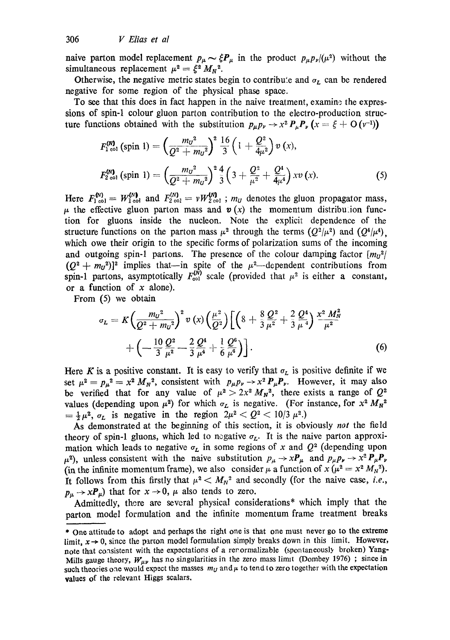naive parton model replacement  $p_{\mu} \sim \xi P_{\mu}$  in the product  $p_{\mu} p_{\nu}/(\mu^2)$  without the simultaneous replacement  $\mu^2 = \xi^2 M_N^2$ .

Otherwise, the negative metric states begin to contribute and  $\sigma_L$  can be rendered negative for some region of the physical phase space.

To see that this does in fact happen in the naive treatment, examine the expressions of spin-1 colour gluon parton contribution to the electro-production structure functions obtained with the substitution  $p_{\mu}p_{\nu} \rightarrow x^2 P_{\mu}P_{\nu}$  ( $x = \xi + O(\nu^{-1})$ )

$$
F_{1 \text{col}}^{(N)}\left(\text{spin } 1\right) = \left(\frac{m_{U}^{2}}{Q^{2} + m_{U}^{2}}\right)^{2} \frac{16}{3} \left(1 + \frac{Q^{2}}{4\mu^{2}}\right) v\left(x\right),
$$
\n
$$
F_{2 \text{col}}^{(N)}\left(\text{spin } 1\right) = \left(\frac{m_{U}^{2}}{Q^{2} + m_{U}^{2}}\right)^{2} \frac{4}{3} \left(3 + \frac{Q^{2}}{\mu^{2}} + \frac{Q^{4}}{4\mu^{4}}\right) x v\left(x\right).
$$
\n(5)

Here  $F_{1 \text{ col}}^{(N)} = W_{1 \text{ col}}^{(N)}$  and  $F_{2 \text{ col}}^{(N)} = vW_{2 \text{ col}}^{(N)}$ ;  $m_U$  denotes the gluon propagator mass,  $\mu$  the effective gluon parton mass and  $\boldsymbol{v}$  (x) the momentum distribution function for gluons inside the nucleon. Note the explicit dependence of the structure functions on the parton mass  $\mu^2$  through the terms  $(Q^2/\mu^2)$  and  $(Q^4/\mu^4)$ , which owe their origin to the specific forms of polarization sums of the incoming and outgoing spin-1 partons. The presence of the colour damping factor  $[m_{U}^2]$  $(Q^2 + m_U^2)^2$  implies that--in spite of the  $\mu^2$ -dependent contributions from spin-1 partons, asymptotically  $F_{\text{col}}^{(N)}$  scale (provided that  $\mu^2$  is either a constant, or a function of  $x$  alone).

From (5) we obtain

$$
\sigma_L = K \left( \frac{m_U^2}{Q^2 + m_U^2} \right)^2 v \left( x \right) \left( \frac{\mu^2}{Q^2} \right) \left[ \left( 8 + \frac{8}{3} \frac{Q^2}{\mu^2} + \frac{2}{3} \frac{Q^4}{\mu^4} \right) \frac{x^2 M_N^2}{\mu^2} + \left( -\frac{10}{3} \frac{Q^2}{\mu^2} - \frac{2}{3} \frac{Q^4}{\mu^4} + \frac{1}{6} \frac{Q^6}{\mu^6} \right) \right].
$$
 (6)

Here K is a positive constant. It is easy to verify that  $\sigma_L$  is positive definite if we set  $\mu^2 = p_\mu^2 = x^2 M_N^2$ , consistent with  $p_\mu p_\nu \rightarrow x^2 P_\mu P_\nu$ . However, it may also be verified that for any value of  $\mu^2 > 2x^2 M_N^2$ , there exists a range of  $Q^2$ values (depending upon  $\mu^2$ ) for which  $\sigma_L$  is negative. (For instance, for  $x^2 M_N^2$  $=$   $\frac{1}{2}\mu^2$ ,  $\sigma_L$  is negative in the region  $2\mu^2 < Q^2 < 10/3 \mu^2$ .)

As demonstrated at the beginning of this section, it is obviously *not* the field theory of spin-1 gluons, which led to negative  $\sigma_L$ . It is the naive parton approximation which leads to negative  $\sigma_L$  in some regions of x and  $Q^2$  (depending upon  $\mu^{2}$ ), unless consistent with the naive substitution  $p_{\mu} \rightarrow xP_{\mu}$  and  $p_{\mu}p_{\nu} \rightarrow x^{2}P_{\mu}P_{\nu}$ (in the infinite momentum frame), we also consider  $\mu$  a function of  $x (\mu^2 = x^2 M_N^2)$ . It follows from this firstly that  $\mu^2 < M_N^2$  and secondly (for the naive case, *i.e.*,  $p_{\mu} \rightarrow x \mathbf{P}_{\mu}$  that for  $x \rightarrow 0$ ,  $\mu$  also tends to zero.

Admittedly, there are several physical considerations\* which imply that the patton model formulation and the infinite momentum frame treatment breaks

<sup>\*</sup> One attitude to adopt and perhaps the right one is that one must never go to the extreme limit,  $x \rightarrow 0$ , since the parton model formulation simply breaks down in this limit. However, note that consistent with the expectations of a report is experienced (spontaneously broken) Yang-Mills gauge theory,  $W_{\mu\nu}$  has no singularities in the zero mass limit (Dombey 1976) ; since in such theories one would expect the masses  $m_U$  and  $\mu$  to tend to zero together with the expectation values of the relevant Higgs scalars.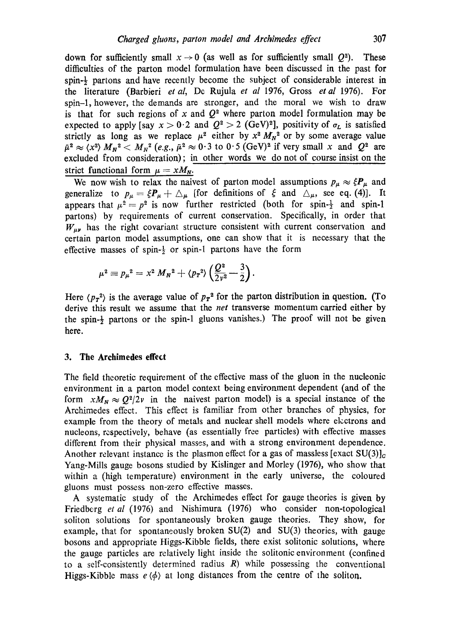down for sufficiently small  $x \to 0$  (as well as for sufficiently small  $Q^2$ ). These difficulties of the patton model formulation have been discussed in the past for spin-½ partons and have recently become the subject of considerable interest in the literature (Barbieri *et al,* De Rujula *et al* 1976, Gross *et al* 1976). For spin-1, however, the demands are stronger, and the moral we wish to draw is that for such regions of x and  $Q^2$  where parton model formulation may be expected to apply [say  $x > 0.2$  and  $Q^2 > 2$  (GeV)<sup>2</sup>], positivity of  $\sigma_L$  is satisfied strictly as long as we replace  $\mu^2$  either by  $x^2 M_N^2$  or by some average value  $\tilde{\mu}^2 \approx \langle x^2 \rangle M_N^2 < M_N^2$  (e.g.,  $\tilde{\mu}^2 \approx 0.3$  to  $0.5$  (GeV)<sup>2</sup> if very small x and  $Q^2$  are excluded from consideration); in other words we do not of course insist on the strict functional form  $\mu = xM_N$ .

We now wish to relax the naivest of parton model assumptions  $p_{\mu} \approx \xi P_{\mu}$  and generalize to  $p_{\mu} = \xi P_{\mu} + \Delta_{\mu}$  [for definitions of  $\xi$  and  $\Delta_{\mu}$ , see eq. (4)]. It appears that  $\mu^2 = p^2$  is now further restricted (both for spin- $\frac{1}{2}$  and spin-1 partons) by requirements of current conservation. Specifically, in order that  $W_{\mu\nu}$  has the right covariant structure consistent with current conservation and certain parton model assumptions, one can show that it is necessary that the effective masses of spin- $\frac{1}{2}$  or spin-1 partons have the form

$$
\mu^{2} \equiv p_{\mu}^{2} = x^{2} M_{N}^{2} + \langle p_{T}^{2} \rangle \left( \frac{Q^{2}}{2 v^{2}} - \frac{3}{2} \right).
$$

Here  $\langle p_T^2 \rangle$  is the average value of  $p_T^2$  for the parton distribution in question. (To derive this result we assume that the *net* transverse momentum carried either by the spin-½ partons or the spin-1 gluons vanishes.) The proof will not be given here.

#### **3. The Archimedes effect**

The field theoretic requirement of the effective mass of the gluon in the nucleonic environment in a parton model context being environment dependent (and of the form  $xM_N \approx Q^2/2v$  in the naivest parton model) is a special instance of the Archimedes effect. This effect is familiar from other branches of physics, for example from the theory of metals and nuclear shell models where electrons and nucleons, respectively, behave (as essentially free particles) with effective masses different from their physical masses, and with a strong environment dependence. Another relevant instance is the plasmon effect for a gas of massless [exact  $SU(3)<sub>c</sub>$ ] Yang-Mills gauge bosons studied by Kislinger and Morley (1976), who show that within a (high temperature) environment in the early universe, the coloured gluons must possess non-zero effective masses.

A systematic study of the Archimedes effect for gauge theories is given by Friedberg *et al* (1976) and Nishimura (1976) who consider non-topological soliton solutions for spontaneously broken gauge theories. They show, for example, that for spontaneously broken SU(2) and SU(3) theories, with gauge bosons and appropriate Higgs-Kibble fields, there exist solitonic solutions, where the gauge particles are relatively light inside the solitonic environment (confined to a self-consistently determined radius  $R$ ) while possessing the conventional Higgs-Kibble mass  $e \langle \phi \rangle$  at long distances from the centre of the soliton.